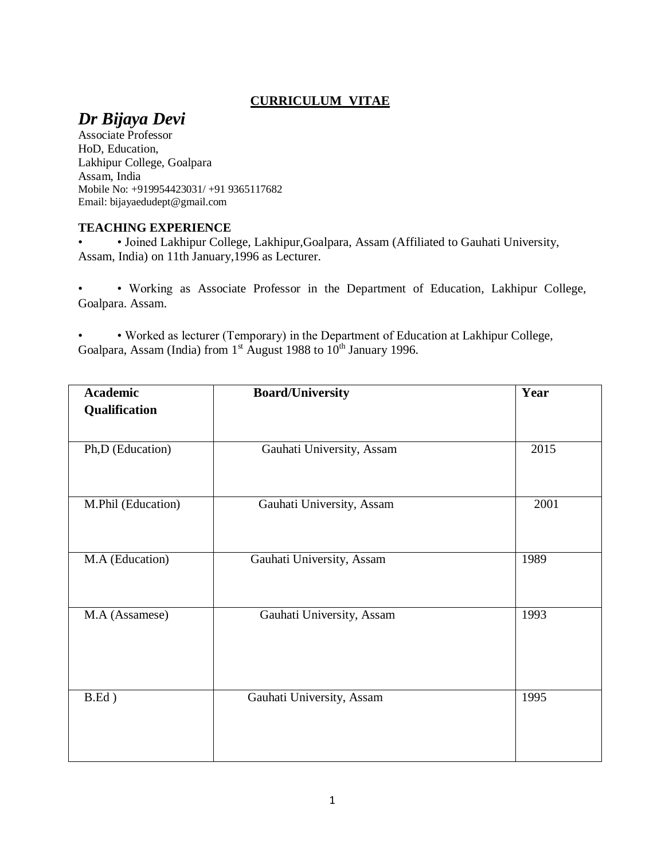### **CURRICULUM VITAE**

# *Dr Bijaya Devi*

Associate Professor HoD, Education, Lakhipur College, Goalpara Assam, India Mobile No: +919954423031/ +91 9365117682 Email: bijayaedudept@gmail.com

#### **TEACHING EXPERIENCE**

• • Joined Lakhipur College, Lakhipur,Goalpara, Assam (Affiliated to Gauhati University, Assam, India) on 11th January,1996 as Lecturer.

• • Working as Associate Professor in the Department of Education, Lakhipur College, Goalpara. Assam.

• • Worked as lecturer (Temporary) in the Department of Education at Lakhipur College, Goalpara, Assam (India) from 1<sup>st</sup> August 1988 to 10<sup>th</sup> January 1996.

| <b>Academic</b>    | <b>Board/University</b>   | Year |
|--------------------|---------------------------|------|
| Qualification      |                           |      |
|                    |                           |      |
| Ph,D (Education)   | Gauhati University, Assam | 2015 |
|                    |                           |      |
|                    |                           |      |
| M.Phil (Education) | Gauhati University, Assam | 2001 |
|                    |                           |      |
| M.A (Education)    | Gauhati University, Assam | 1989 |
|                    |                           |      |
|                    |                           |      |
| M.A (Assamese)     | Gauhati University, Assam | 1993 |
|                    |                           |      |
|                    |                           |      |
|                    |                           |      |
| $B.Ed$ )           | Gauhati University, Assam | 1995 |
|                    |                           |      |
|                    |                           |      |
|                    |                           |      |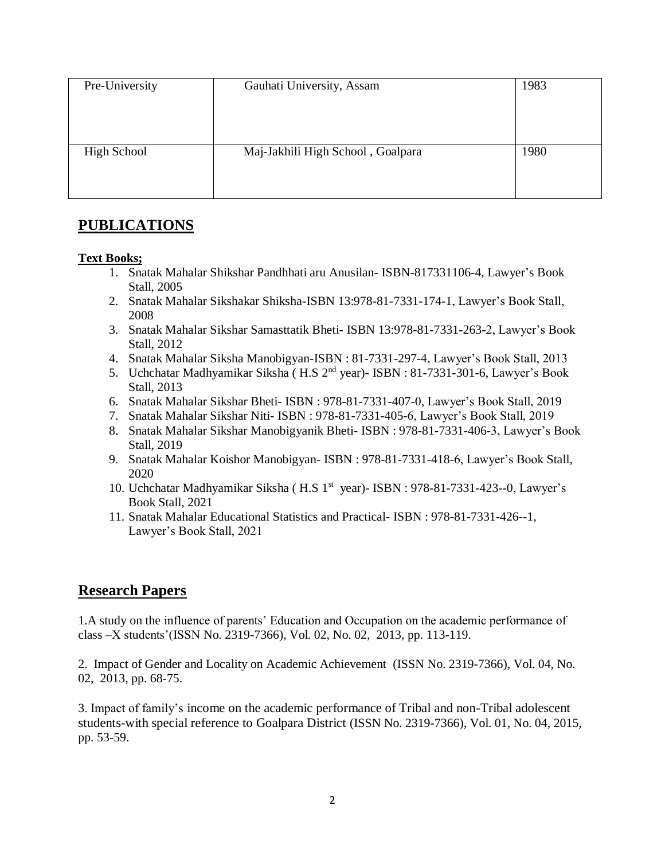| Pre-University     | Gauhati University, Assam         | 1983 |
|--------------------|-----------------------------------|------|
|                    |                                   |      |
|                    |                                   |      |
|                    |                                   |      |
| <b>High School</b> | Maj-Jakhili High School, Goalpara | 1980 |
|                    |                                   |      |
|                    |                                   |      |
|                    |                                   |      |

# **PUBLICATIONS**

#### **Text Books;**

- 1. Snatak Mahalar Shikshar Pandhhati aru Anusilan- ISBN-817331106-4, Lawyer's Book Stall, 2005
- 2. Snatak Mahalar Sikshakar Shiksha-ISBN 13:978-81-7331-174-1, Lawyer's Book Stall, 2008
- 3. Snatak Mahalar Sikshar Samasttatik Bheti- ISBN 13:978-81-7331-263-2, Lawyer's Book Stall, 2012
- 4. Snatak Mahalar Siksha Manobigyan-ISBN : 81-7331-297-4, Lawyer's Book Stall, 2013
- 5. Uchchatar Madhyamikar Siksha ( H.S 2nd year)- ISBN : 81-7331-301-6, Lawyer's Book Stall, 2013
- 6. Snatak Mahalar Sikshar Bheti- ISBN : 978-81-7331-407-0, Lawyer's Book Stall, 2019
- 7. Snatak Mahalar Sikshar Niti- ISBN : 978-81-7331-405-6, Lawyer's Book Stall, 2019
- 8. Snatak Mahalar Sikshar Manobigyanik Bheti- ISBN : 978-81-7331-406-3, Lawyer's Book Stall, 2019
- 9. Snatak Mahalar Koishor Manobigyan- ISBN : 978-81-7331-418-6, Lawyer's Book Stall, 2020
- 10. Uchchatar Madhyamikar Siksha (H.S 1<sup>st</sup> year) ISBN : 978-81-7331-423--0, Lawyer's Book Stall, 2021
- 11. Snatak Mahalar Educational Statistics and Practical- ISBN : 978-81-7331-426--1, Lawyer's Book Stall, 2021

# **Research Papers**

1.A study on the influence of parents' Education and Occupation on the academic performance of class –X students'(ISSN No. 2319-7366), Vol. 02, No. 02, 2013, pp. 113-119.

2. Impact of Gender and Locality on Academic Achievement (ISSN No. 2319-7366), Vol. 04, No. 02, 2013, pp. 68-75.

3. Impact of family's income on the academic performance of Tribal and non-Tribal adolescent students-with special reference to Goalpara District (ISSN No. 2319-7366), Vol. 01, No. 04, 2015, pp. 53-59.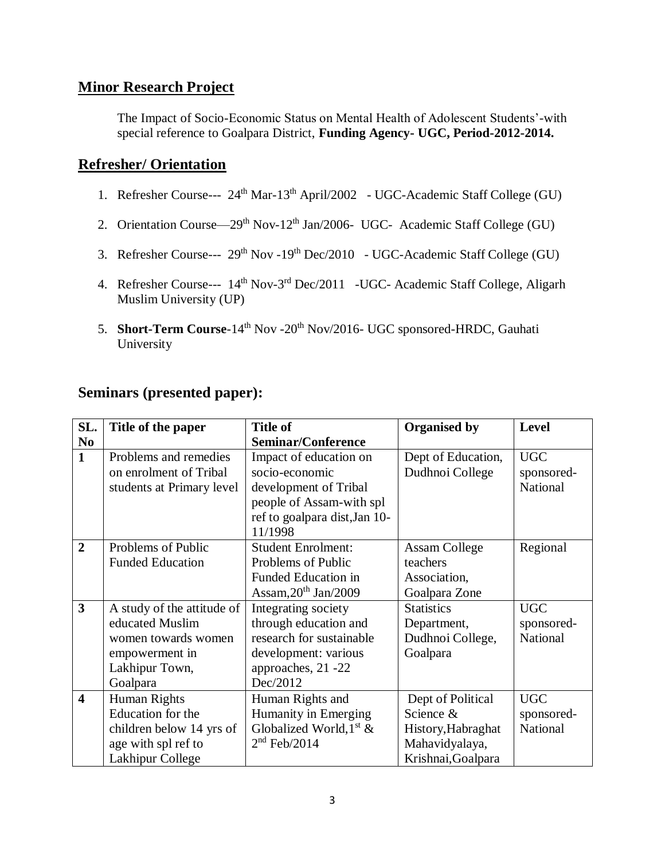## **Minor Research Project**

The Impact of Socio-Economic Status on Mental Health of Adolescent Students'-with special reference to Goalpara District, **Funding Agency- UGC, Period-2012-2014.**

### **Refresher/ Orientation**

- 1. Refresher Course---  $24<sup>th</sup>$  Mar-13<sup>th</sup> April/2002 UGC-Academic Staff College (GU)
- 2. Orientation Course—29<sup>th</sup> Nov-12<sup>th</sup> Jan/2006- UGC- Academic Staff College (GU)
- 3. Refresher Course---  $29<sup>th</sup> Nov -19<sup>th</sup> Dec/2010 UGC-Academic Staff College (GU)$
- 4. Refresher Course--- 14<sup>th</sup> Nov-3<sup>rd</sup> Dec/2011 -UGC- Academic Staff College, Aligarh Muslim University (UP)
- 5. **Short-Term Course**-14<sup>th</sup> Nov -20<sup>th</sup> Nov/2016- UGC sponsored-HRDC, Gauhati University

| <b>Seminars (presented paper):</b> |  |  |  |
|------------------------------------|--|--|--|
|------------------------------------|--|--|--|

| SL.                     | Title of the paper         | <b>Title of</b>               | <b>Organised by</b>  | Level      |
|-------------------------|----------------------------|-------------------------------|----------------------|------------|
| N <sub>0</sub>          |                            | <b>Seminar/Conference</b>     |                      |            |
| $\mathbf{1}$            | Problems and remedies      | Impact of education on        | Dept of Education,   | <b>UGC</b> |
|                         | on enrolment of Tribal     | socio-economic                | Dudhnoi College      | sponsored- |
|                         | students at Primary level  | development of Tribal         |                      | National   |
|                         |                            | people of Assam-with spl      |                      |            |
|                         |                            | ref to goalpara dist, Jan 10- |                      |            |
|                         |                            | 11/1998                       |                      |            |
| $\overline{2}$          | Problems of Public         | <b>Student Enrolment:</b>     | <b>Assam College</b> | Regional   |
|                         | <b>Funded Education</b>    | Problems of Public            | teachers             |            |
|                         |                            | Funded Education in           | Association,         |            |
|                         |                            | Assam, $20^{th}$ Jan/2009     | Goalpara Zone        |            |
| 3                       | A study of the attitude of | Integrating society           | <b>Statistics</b>    | <b>UGC</b> |
|                         | educated Muslim            | through education and         | Department,          | sponsored- |
|                         | women towards women        | research for sustainable      | Dudhnoi College,     | National   |
|                         | empowerment in             | development: various          | Goalpara             |            |
|                         | Lakhipur Town,             | approaches, 21 -22            |                      |            |
|                         | Goalpara                   | Dec/2012                      |                      |            |
| $\overline{\mathbf{4}}$ | Human Rights               | Human Rights and              | Dept of Political    | <b>UGC</b> |
|                         | Education for the          | Humanity in Emerging          | Science &            | sponsored- |
|                         | children below 14 yrs of   | Globalized World, $1st$ &     | History, Habraghat   | National   |
|                         | age with spl ref to        | $2nd$ Feb/2014                | Mahavidyalaya,       |            |
|                         | Lakhipur College           |                               | Krishnai, Goalpara   |            |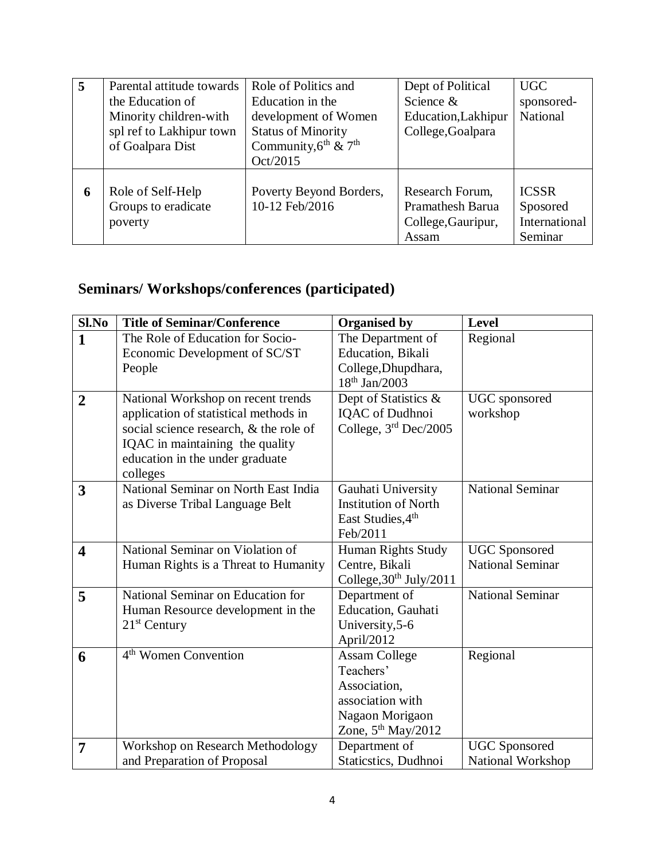| 5 | Parental attitude towards | Role of Politics and                         | Dept of Political       | <b>UGC</b>      |
|---|---------------------------|----------------------------------------------|-------------------------|-----------------|
|   | the Education of          | Education in the                             | Science &               | sponsored-      |
|   | Minority children-with    | development of Women                         | Education, Lakhipur     | <b>National</b> |
|   | spl ref to Lakhipur town  | <b>Status of Minority</b>                    | College, Goalpara       |                 |
|   | of Goalpara Dist          | Community, $6^{\text{th}}$ & $7^{\text{th}}$ |                         |                 |
|   |                           | Oct/2015                                     |                         |                 |
|   |                           |                                              |                         |                 |
| 6 | Role of Self-Help         | Poverty Beyond Borders,                      | Research Forum,         | <b>ICSSR</b>    |
|   | Groups to eradicate       | 10-12 Feb/2016                               | <b>Pramathesh Barua</b> | Sposored        |
|   | poverty                   |                                              | College, Gauripur,      | International   |
|   |                           |                                              | Assam                   | Seminar         |

# **Seminars/ Workshops/conferences (participated)**

| Sl.No                   | <b>Title of Seminar/Conference</b>     | <b>Organised by</b>                 | Level                    |
|-------------------------|----------------------------------------|-------------------------------------|--------------------------|
| $\mathbf{1}$            | The Role of Education for Socio-       | The Department of                   | Regional                 |
|                         | Economic Development of SC/ST          | Education, Bikali                   |                          |
|                         | People                                 | College, Dhupdhara,                 |                          |
|                         |                                        | $18^{th}$ Jan/2003                  |                          |
| $\overline{2}$          | National Workshop on recent trends     | Dept of Statistics &                | UGC sponsored            |
|                         | application of statistical methods in  | <b>IQAC</b> of Dudhnoi              | workshop                 |
|                         | social science research, & the role of | College, $3rd$ Dec/2005             |                          |
|                         | IQAC in maintaining the quality        |                                     |                          |
|                         | education in the under graduate        |                                     |                          |
|                         | colleges                               |                                     |                          |
| 3                       | National Seminar on North East India   | Gauhati University                  | <b>National Seminar</b>  |
|                         | as Diverse Tribal Language Belt        | <b>Institution of North</b>         |                          |
|                         |                                        | East Studies, 4th                   |                          |
|                         |                                        | Feb/2011                            |                          |
| $\overline{\mathbf{4}}$ | National Seminar on Violation of       | Human Rights Study                  | <b>UGC</b> Sponsored     |
|                         | Human Rights is a Threat to Humanity   | Centre, Bikali                      | <b>National Seminar</b>  |
|                         |                                        | College, 30 <sup>th</sup> July/2011 |                          |
| 5                       | National Seminar on Education for      | Department of                       | <b>National Seminar</b>  |
|                         | Human Resource development in the      | Education, Gauhati                  |                          |
|                         | $21st$ Century                         | University, 5-6                     |                          |
|                         |                                        | April/2012                          |                          |
| 6                       | 4 <sup>th</sup> Women Convention       | <b>Assam College</b>                | Regional                 |
|                         |                                        | Teachers'                           |                          |
|                         |                                        | Association,                        |                          |
|                         |                                        | association with                    |                          |
|                         |                                        | Nagaon Morigaon                     |                          |
|                         |                                        | Zone, $5th$ May/2012                |                          |
| 7                       | Workshop on Research Methodology       | Department of                       | <b>UGC</b> Sponsored     |
|                         | and Preparation of Proposal            | <b>Staticstics</b> , Dudhnoi        | <b>National Workshop</b> |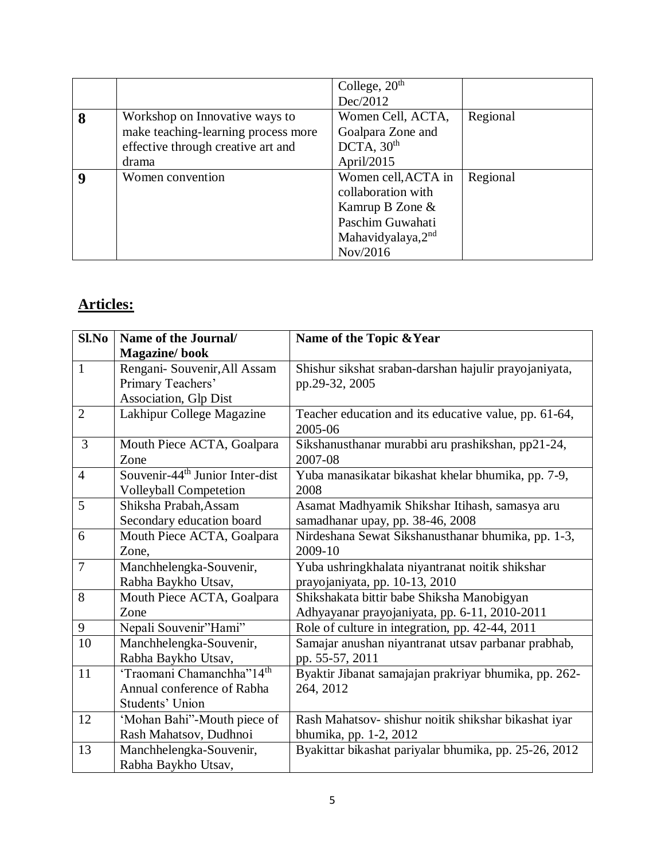|                  |                                     | College, $20th$     |          |
|------------------|-------------------------------------|---------------------|----------|
|                  |                                     | Dec/2012            |          |
| 8                | Workshop on Innovative ways to      | Women Cell, ACTA,   | Regional |
|                  | make teaching-learning process more | Goalpara Zone and   |          |
|                  | effective through creative art and  | DCTA, $30th$        |          |
|                  | drama                               | April/2015          |          |
| $\boldsymbol{Q}$ | Women convention                    | Women cell, ACTA in | Regional |
|                  |                                     | collaboration with  |          |
|                  |                                     | Kamrup B Zone &     |          |
|                  |                                     | Paschim Guwahati    |          |
|                  |                                     | Mahavidyalaya,2nd   |          |
|                  |                                     | Nov/2016            |          |

# **Articles:**

| Sl.No          | Name of the Journal/                        | Name of the Topic & Year                              |
|----------------|---------------------------------------------|-------------------------------------------------------|
|                | <b>Magazine/book</b>                        |                                                       |
| $\mathbf{1}$   | Rengani- Souvenir, All Assam                | Shishur sikshat sraban-darshan hajulir prayojaniyata, |
|                | Primary Teachers'                           | pp.29-32, 2005                                        |
|                | Association, Glp Dist                       |                                                       |
| $\overline{2}$ | Lakhipur College Magazine                   | Teacher education and its educative value, pp. 61-64, |
|                |                                             | 2005-06                                               |
| 3              | Mouth Piece ACTA, Goalpara                  | Sikshanusthanar murabbi aru prashikshan, pp21-24,     |
|                | Zone                                        | 2007-08                                               |
| $\overline{4}$ | Souvenir-44 <sup>th</sup> Junior Inter-dist | Yuba manasikatar bikashat khelar bhumika, pp. 7-9,    |
|                | <b>Volleyball Competetion</b>               | 2008                                                  |
| 5              | Shiksha Prabah, Assam                       | Asamat Madhyamik Shikshar Itihash, samasya aru        |
|                | Secondary education board                   | samadhanar upay, pp. 38-46, 2008                      |
| 6              | Mouth Piece ACTA, Goalpara                  | Nirdeshana Sewat Sikshanusthanar bhumika, pp. 1-3,    |
|                | Zone,                                       | 2009-10                                               |
| $\overline{7}$ | Manchhelengka-Souvenir,                     | Yuba ushringkhalata niyantranat noitik shikshar       |
|                | Rabha Baykho Utsav,                         | prayojaniyata, pp. 10-13, 2010                        |
| 8              | Mouth Piece ACTA, Goalpara                  | Shikshakata bittir babe Shiksha Manobigyan            |
|                | Zone                                        | Adhyayanar prayojaniyata, pp. 6-11, 2010-2011         |
| 9              | Nepali Souvenir"Hami"                       | Role of culture in integration, pp. 42-44, 2011       |
| 10             | Manchhelengka-Souvenir,                     | Samajar anushan niyantranat utsav parbanar prabhab,   |
|                | Rabha Baykho Utsav,                         | pp. 55-57, 2011                                       |
| 11             | 'Traomani Chamanchha"14 <sup>th</sup>       | Byaktir Jibanat samajajan prakriyar bhumika, pp. 262- |
|                | Annual conference of Rabha                  | 264, 2012                                             |
|                | Students' Union                             |                                                       |
| 12             | 'Mohan Bahi"-Mouth piece of                 | Rash Mahatsov- shishur noitik shikshar bikashat iyar  |
|                | Rash Mahatsov, Dudhnoi                      | bhumika, pp. 1-2, 2012                                |
| 13             | Manchhelengka-Souvenir,                     | Byakittar bikashat pariyalar bhumika, pp. 25-26, 2012 |
|                | Rabha Baykho Utsav,                         |                                                       |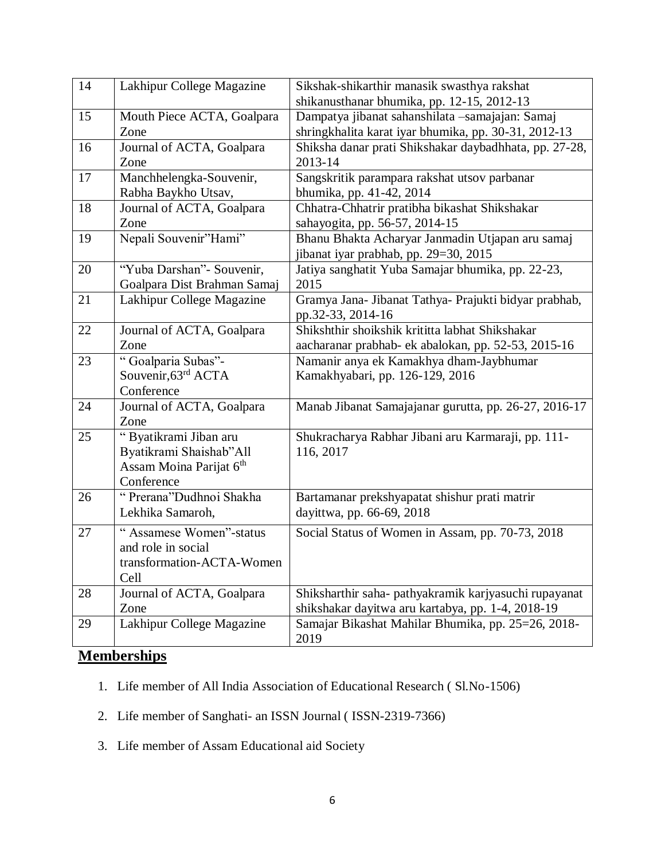| 14 | Lakhipur College Magazine                                                                             | Sikshak-shikarthir manasik swasthya rakshat<br>shikanusthanar bhumika, pp. 12-15, 2012-13                  |
|----|-------------------------------------------------------------------------------------------------------|------------------------------------------------------------------------------------------------------------|
| 15 | Mouth Piece ACTA, Goalpara<br>Zone                                                                    | Dampatya jibanat sahanshilata -samajajan: Samaj<br>shringkhalita karat iyar bhumika, pp. 30-31, 2012-13    |
| 16 | Journal of ACTA, Goalpara<br>Zone                                                                     | Shiksha danar prati Shikshakar daybadhhata, pp. 27-28,<br>2013-14                                          |
| 17 | Manchhelengka-Souvenir,<br>Rabha Baykho Utsav,                                                        | Sangskritik parampara rakshat utsov parbanar<br>bhumika, pp. 41-42, 2014                                   |
| 18 | Journal of ACTA, Goalpara<br>Zone                                                                     | Chhatra-Chhatrir pratibha bikashat Shikshakar<br>sahayogita, pp. 56-57, 2014-15                            |
| 19 | Nepali Souvenir"Hami"                                                                                 | Bhanu Bhakta Acharyar Janmadin Utjapan aru samaj<br>jibanat iyar prabhab, pp. 29=30, 2015                  |
| 20 | "Yuba Darshan"- Souvenir,<br>Goalpara Dist Brahman Samaj                                              | Jatiya sanghatit Yuba Samajar bhumika, pp. 22-23,<br>2015                                                  |
| 21 | Lakhipur College Magazine                                                                             | Gramya Jana- Jibanat Tathya- Prajukti bidyar prabhab,<br>pp.32-33, 2014-16                                 |
| 22 | Journal of ACTA, Goalpara<br>Zone                                                                     | Shikshthir shoikshik krititta labhat Shikshakar<br>aacharanar prabhab- ek abalokan, pp. 52-53, 2015-16     |
| 23 | "Goalparia Subas"-<br>Souvenir, 63rd ACTA<br>Conference                                               | Namanir anya ek Kamakhya dham-Jaybhumar<br>Kamakhyabari, pp. 126-129, 2016                                 |
| 24 | Journal of ACTA, Goalpara<br>Zone                                                                     | Manab Jibanat Samajajanar gurutta, pp. 26-27, 2016-17                                                      |
| 25 | "Byatikrami Jiban aru<br>Byatikrami Shaishab"All<br>Assam Moina Parijat 6 <sup>th</sup><br>Conference | Shukracharya Rabhar Jibani aru Karmaraji, pp. 111-<br>116, 2017                                            |
| 26 | " Prerana"Dudhnoi Shakha<br>Lekhika Samaroh,                                                          | Bartamanar prekshyapatat shishur prati matrir<br>dayittwa, pp. 66-69, 2018                                 |
| 27 | "Assamese Women"-status<br>and role in social<br>transformation-ACTA-Women<br>Cell                    | Social Status of Women in Assam, pp. 70-73, 2018                                                           |
| 28 | Journal of ACTA, Goalpara<br>Zone                                                                     | Shiksharthir saha- pathyakramik karjyasuchi rupayanat<br>shikshakar dayitwa aru kartabya, pp. 1-4, 2018-19 |
| 29 | Lakhipur College Magazine                                                                             | Samajar Bikashat Mahilar Bhumika, pp. 25=26, 2018-<br>2019                                                 |

# **Memberships**

- 1. Life member of All India Association of Educational Research ( Sl.No-1506)
- 2. Life member of Sanghati- an ISSN Journal ( ISSN-2319-7366)
- 3. Life member of Assam Educational aid Society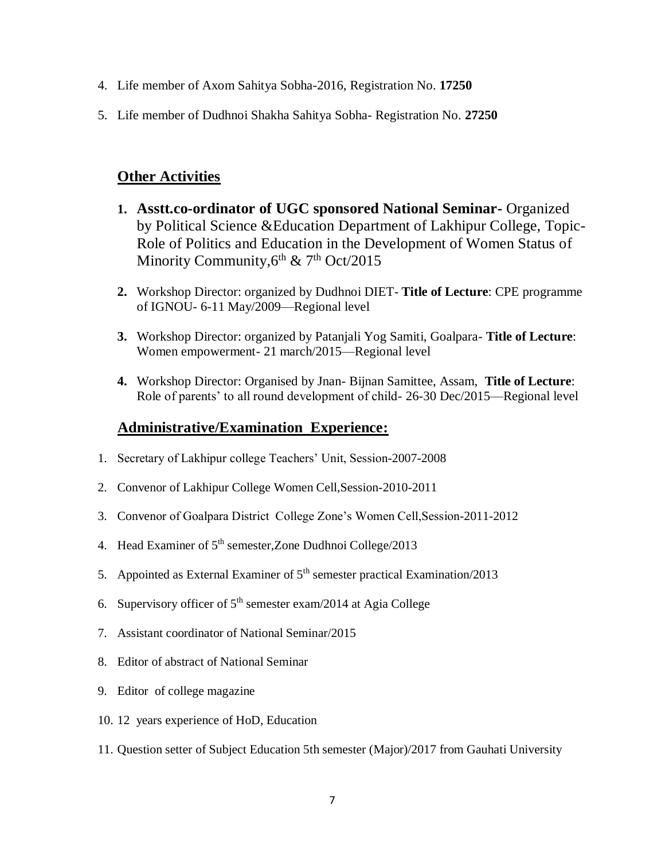- 4. Life member of Axom Sahitya Sobha-2016, Registration No. **17250**
- 5. Life member of Dudhnoi Shakha Sahitya Sobha- Registration No. **27250**

# **Other Activities**

- **1. Asstt.co-ordinator of UGC sponsored National Seminar-** Organized by Political Science &Education Department of Lakhipur College, Topic-Role of Politics and Education in the Development of Women Status of Minority Community, 6<sup>th</sup> & 7<sup>th</sup> Oct/2015
- **2.** Workshop Director: organized by Dudhnoi DIET- **Title of Lecture**: CPE programme of IGNOU- 6-11 May/2009—Regional level
- **3.** Workshop Director: organized by Patanjali Yog Samiti, Goalpara- **Title of Lecture**: Women empowerment- 21 march/2015—Regional level
- **4.** Workshop Director: Organised by Jnan- Bijnan Samittee, Assam, **Title of Lecture**: Role of parents' to all round development of child- 26-30 Dec/2015—Regional level

## **Administrative/Examination Experience:**

- 1. Secretary of Lakhipur college Teachers' Unit, Session-2007-2008
- 2. Convenor of Lakhipur College Women Cell,Session-2010-2011
- 3. Convenor of Goalpara District College Zone's Women Cell,Session-2011-2012
- 4. Head Examiner of  $5<sup>th</sup>$  semester, Zone Dudhnoi College/2013
- 5. Appointed as External Examiner of  $5<sup>th</sup>$  semester practical Examination/2013
- 6. Supervisory officer of  $5<sup>th</sup>$  semester exam/2014 at Agia College
- 7. Assistant coordinator of National Seminar/2015
- 8. Editor of abstract of National Seminar
- 9. Editor of college magazine
- 10. 12 years experience of HoD, Education
- 11. Question setter of Subject Education 5th semester (Major)/2017 from Gauhati University